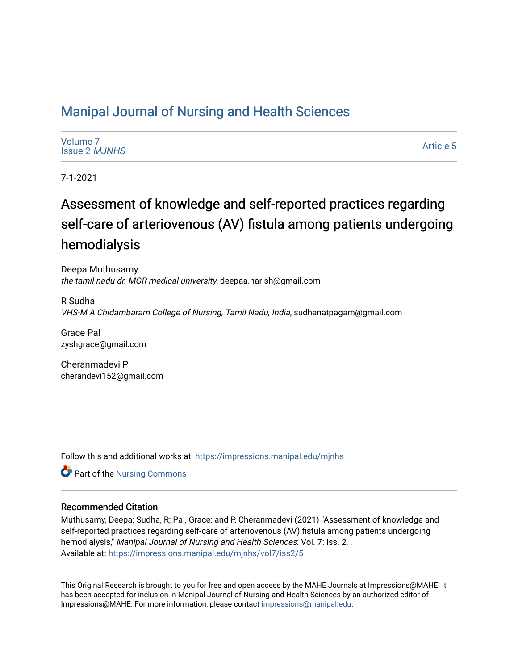# [Manipal Journal of Nursing and Health Sciences](https://impressions.manipal.edu/mjnhs)

| Volume 7             |
|----------------------|
| <b>Issue 2 MJNHS</b> |

[Article 5](https://impressions.manipal.edu/mjnhs/vol7/iss2/5) 

7-1-2021

# Assessment of knowledge and self-reported practices regarding self-care of arteriovenous (AV) fistula among patients undergoing hemodialysis

Deepa Muthusamy the tamil nadu dr. MGR medical university, deepaa.harish@gmail.com

R Sudha VHS-M A Chidambaram College of Nursing, Tamil Nadu, India, sudhanatpagam@gmail.com

Grace Pal zyshgrace@gmail.com

Cheranmadevi P cherandevi152@gmail.com

Follow this and additional works at: [https://impressions.manipal.edu/mjnhs](https://impressions.manipal.edu/mjnhs?utm_source=impressions.manipal.edu%2Fmjnhs%2Fvol7%2Fiss2%2F5&utm_medium=PDF&utm_campaign=PDFCoverPages) 

Part of the [Nursing Commons](https://network.bepress.com/hgg/discipline/718?utm_source=impressions.manipal.edu%2Fmjnhs%2Fvol7%2Fiss2%2F5&utm_medium=PDF&utm_campaign=PDFCoverPages) 

## Recommended Citation

Muthusamy, Deepa; Sudha, R; Pal, Grace; and P, Cheranmadevi (2021) "Assessment of knowledge and self-reported practices regarding self-care of arteriovenous (AV) fistula among patients undergoing hemodialysis," Manipal Journal of Nursing and Health Sciences: Vol. 7: Iss. 2, . Available at: [https://impressions.manipal.edu/mjnhs/vol7/iss2/5](https://impressions.manipal.edu/mjnhs/vol7/iss2/5?utm_source=impressions.manipal.edu%2Fmjnhs%2Fvol7%2Fiss2%2F5&utm_medium=PDF&utm_campaign=PDFCoverPages) 

This Original Research is brought to you for free and open access by the MAHE Journals at Impressions@MAHE. It has been accepted for inclusion in Manipal Journal of Nursing and Health Sciences by an authorized editor of Impressions@MAHE. For more information, please contact [impressions@manipal.edu](mailto:impressions@manipal.edu).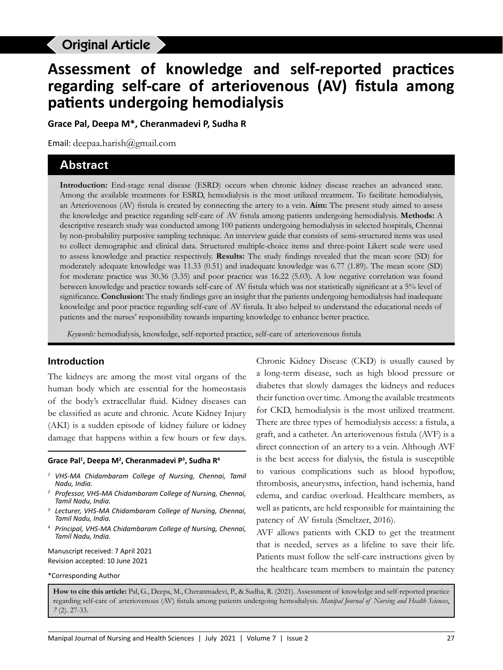# **Original Article**

# **Assessment of knowledge and self-reported practices regarding self-care of arteriovenous (AV) fistula among patients undergoing hemodialysis**

**Grace Pal, Deepa M\*, Cheranmadevi P, Sudha R**

Email: deepaa.harish@gmail.com

## **Abstract**

**Introduction:** End-stage renal disease (ESRD) occurs when chronic kidney disease reaches an advanced state. Among the available treatments for ESRD, hemodialysis is the most utilized treatment. To facilitate hemodialysis, an Arteriovenous (AV) fistula is created by connecting the artery to a vein. **Aim:** The present study aimed to assess the knowledge and practice regarding self-care of AV fistula among patients undergoing hemodialysis. **Methods:** A descriptive research study was conducted among 100 patients undergoing hemodialysis in selected hospitals, Chennai by non-probability purposive sampling technique. An interview guide that consists of semi-structured items was used to collect demographic and clinical data. Structured multiple-choice items and three-point Likert scale were used to assess knowledge and practice respectively. **Results:** The study findings revealed that the mean score (SD) for moderately adequate knowledge was 11.33 (0.51) and inadequate knowledge was 6.77 (1.89). The mean score (SD) for moderate practice was 30.36 (3.35) and poor practice was 16.22 (5.03). A low negative correlation was found between knowledge and practice towards self-care of AV fistula which was not statistically significant at a 5% level of significance. **Conclusion:** The study findings gave an insight that the patients undergoing hemodialysis had inadequate knowledge and poor practice regarding self-care of AV fistula. It also helped to understand the educational needs of patients and the nurses' responsibility towards imparting knowledge to enhance better practice.

*Keywords:* hemodialysis, knowledge, self-reported practice, self-care of arteriovenous fistula

#### **Introduction**

The kidneys are among the most vital organs of the human body which are essential for the homeostasis of the body's extracellular fluid. Kidney diseases can be classified as acute and chronic. Acute Kidney Injury (AKI) is a sudden episode of kidney failure or kidney damage that happens within a few hours or few days.

#### Grace Pal<sup>1</sup>, Deepa M<sup>2</sup>, Cheranmadevi P<sup>3</sup>, Sudha R<sup>4</sup>

- *<sup>1</sup> VHS-MA Chidambaram College of Nursing, Chennai, Tamil Nadu, India.*
- *<sup>2</sup> Professor, VHS-MA Chidambaram College of Nursing, Chennai, Tamil Nadu, India.*
- *<sup>3</sup> Lecturer, VHS-MA Chidambaram College of Nursing, Chennai, Tamil Nadu, India.*
- *<sup>4</sup> Principal, VHS-MA Chidambaram College of Nursing, Chennai, Tamil Nadu, India.*

Manuscript received: 7 April 2021 Revision accepted: 10 June 2021

\*Corresponding Author

Chronic Kidney Disease (CKD) is usually caused by a long-term disease, such as high blood pressure or diabetes that slowly damages the kidneys and reduces their function over time. Among the available treatments for CKD, hemodialysis is the most utilized treatment. There are three types of hemodialysis access: a fistula, a graft, and a catheter. An arteriovenous fistula (AVF) is a direct connection of an artery to a vein. Although AVF is the best access for dialysis, the fistula is susceptible to various complications such as blood hypoflow, thrombosis, aneurysms, infection, hand ischemia, hand edema, and cardiac overload. Healthcare members, as well as patients, are held responsible for maintaining the patency of AV fistula (Smeltzer, 2016).

AVF allows patients with CKD to get the treatment that is needed, serves as a lifeline to save their life. Patients must follow the self-care instructions given by the healthcare team members to maintain the patency

**How to cite this article:** Pal, G., Deepa, M., Cheranmadevi, P., & Sudha, R. (2021). Assessment of knowledge and self-reported practice regarding self-care of arteriovenous (AV) fistula among patients undergoing hemodialysis. *Manipal Journal of Nursing and Health Sciences*, *7* (2). 27-33.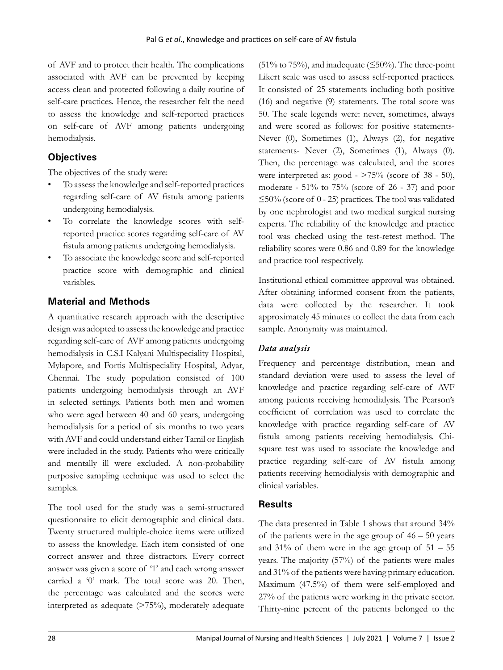of AVF and to protect their health. The complications associated with AVF can be prevented by keeping access clean and protected following a daily routine of self-care practices. Hence, the researcher felt the need to assess the knowledge and self-reported practices on self-care of AVF among patients undergoing hemodialysis.

## **Objectives**

The objectives of the study were:

- To assess the knowledge and self-reported practices regarding self-care of AV fistula among patients undergoing hemodialysis.
- To correlate the knowledge scores with selfreported practice scores regarding self-care of AV fistula among patients undergoing hemodialysis.
- To associate the knowledge score and self-reported practice score with demographic and clinical variables.

## **Material and Methods**

A quantitative research approach with the descriptive design was adopted to assess the knowledge and practice regarding self-care of AVF among patients undergoing hemodialysis in C.S.I Kalyani Multispeciality Hospital, Mylapore, and Fortis Multispeciality Hospital, Adyar, Chennai. The study population consisted of 100 patients undergoing hemodialysis through an AVF in selected settings. Patients both men and women who were aged between 40 and 60 years, undergoing hemodialysis for a period of six months to two years with AVF and could understand either Tamil or English were included in the study. Patients who were critically and mentally ill were excluded. A non-probability purposive sampling technique was used to select the samples.

The tool used for the study was a semi-structured questionnaire to elicit demographic and clinical data. Twenty structured multiple-choice items were utilized to assess the knowledge. Each item consisted of one correct answer and three distractors. Every correct answer was given a score of '1' and each wrong answer carried a '0' mark. The total score was 20. Then, the percentage was calculated and the scores were interpreted as adequate (>75%), moderately adequate

 $(51\%$  to 75%), and inadequate ( $\leq$ 50%). The three-point Likert scale was used to assess self-reported practices. It consisted of 25 statements including both positive (16) and negative (9) statements. The total score was 50. The scale legends were: never, sometimes, always and were scored as follows: for positive statements-Never (0), Sometimes (1), Always (2), for negative statements- Never (2), Sometimes (1), Always (0). Then, the percentage was calculated, and the scores were interpreted as: good - >75% (score of 38 - 50), moderate - 51% to 75% (score of 26 - 37) and poor  $\leq$ 50% (score of 0 - 25) practices. The tool was validated by one nephrologist and two medical surgical nursing experts. The reliability of the knowledge and practice tool was checked using the test-retest method. The reliability scores were 0.86 and 0.89 for the knowledge and practice tool respectively.

Institutional ethical committee approval was obtained. After obtaining informed consent from the patients, data were collected by the researcher. It took approximately 45 minutes to collect the data from each sample. Anonymity was maintained.

## *Data analysis*

Frequency and percentage distribution, mean and standard deviation were used to assess the level of knowledge and practice regarding self-care of AVF among patients receiving hemodialysis. The Pearson's coefficient of correlation was used to correlate the knowledge with practice regarding self-care of AV fistula among patients receiving hemodialysis. Chisquare test was used to associate the knowledge and practice regarding self-care of AV fistula among patients receiving hemodialysis with demographic and clinical variables.

## **Results**

The data presented in Table 1 shows that around 34% of the patients were in the age group of  $46 - 50$  years and  $31\%$  of them were in the age group of  $51 - 55$ years. The majority (57%) of the patients were males and 31% of the patients were having primary education. Maximum (47.5%) of them were self-employed and 27% of the patients were working in the private sector. Thirty-nine percent of the patients belonged to the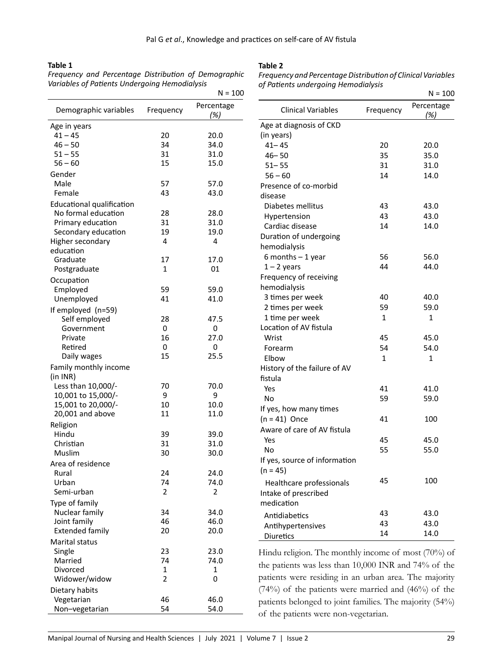#### **Table 1**

*Frequency and Percentage Distribution of Demographic Variables of Patients Undergoing Hemodialysis*

#### **Table 2**

*Frequency and Percentage Distribution of Clinical Variables of Patients undergoing Hemodialysis*

|                                   |                | $N = 100$         |                                                         |           | $N = 100$         |  |
|-----------------------------------|----------------|-------------------|---------------------------------------------------------|-----------|-------------------|--|
| Demographic variables             | Frequency      | Percentage<br>(%) | <b>Clinical Variables</b>                               | Frequency | Percentage<br>(%) |  |
| Age in years                      |                |                   | Age at diagnosis of CKD                                 |           |                   |  |
| $41 - 45$                         | 20             | 20.0              | (in years)                                              |           |                   |  |
| $46 - 50$                         | 34             | 34.0              | $41 - 45$                                               | 20        | 20.0              |  |
| $51 - 55$                         | 31             | 31.0              | $46 - 50$                                               | 35        | 35.0              |  |
| $56 - 60$                         | 15             | 15.0              | $51 - 55$                                               | 31        | 31.0              |  |
| Gender                            |                |                   | $56 - 60$                                               | 14        | 14.0              |  |
| Male                              | 57             | 57.0              | Presence of co-morbid                                   |           |                   |  |
| Female                            | 43             | 43.0              | disease                                                 |           |                   |  |
| <b>Educational qualification</b>  |                |                   | Diabetes mellitus                                       | 43        | 43.0              |  |
| No formal education               | 28             | 28.0              | Hypertension                                            | 43        | 43.0              |  |
| Primary education                 | 31             | 31.0              | Cardiac disease                                         | 14        | 14.0              |  |
| Secondary education               | 19             | 19.0              | Duration of undergoing                                  |           |                   |  |
| Higher secondary                  | 4              | 4                 | hemodialysis                                            |           |                   |  |
| education                         |                |                   | $6$ months $-1$ year                                    | 56        | 56.0              |  |
| Graduate                          | 17             | 17.0              | $1 - 2$ years                                           | 44        | 44.0              |  |
| Postgraduate                      | $\mathbf{1}$   | 01                | Frequency of receiving                                  |           |                   |  |
| Occupation                        |                |                   | hemodialysis                                            |           |                   |  |
| Employed                          | 59             | 59.0              | 3 times per week                                        | 40        | 40.0              |  |
| Unemployed                        | 41             | 41.0              | 2 times per week                                        | 59        | 59.0              |  |
| If employed (n=59)                |                |                   |                                                         | 1         | $\mathbf{1}$      |  |
| Self employed                     | 28             | 47.5              | 1 time per week<br>Location of AV fistula               |           |                   |  |
| Government                        | 0              | 0                 |                                                         |           |                   |  |
| Private<br>Retired                | 16<br>0        | 27.0<br>0         | Wrist                                                   | 45        | 45.0              |  |
| Daily wages                       | 15             | 25.5              | Forearm                                                 | 54        | 54.0              |  |
|                                   |                |                   | Elbow                                                   | 1         | $\mathbf{1}$      |  |
| Family monthly income<br>(in INR) |                |                   | History of the failure of AV                            |           |                   |  |
| Less than 10,000/-                | 70             | 70.0              | fistula                                                 |           |                   |  |
| 10,001 to 15,000/-                | 9              | 9                 | Yes                                                     | 41        | 41.0              |  |
| 15,001 to 20,000/-                | 10             | 10.0              | <b>No</b>                                               | 59        | 59.0              |  |
| 20,001 and above                  | 11             | 11.0              | If yes, how many times                                  |           |                   |  |
| Religion                          |                |                   | $(n = 41)$ Once<br>41                                   |           | 100               |  |
| Hindu                             | 39             | 39.0              | Aware of care of AV fistula                             |           |                   |  |
| Christian                         | 31             | 31.0              | Yes                                                     | 45        | 45.0              |  |
| Muslim                            | 30             | 30.0              | <b>No</b>                                               | 55        | 55.0              |  |
| Area of residence                 |                |                   | If yes, source of information                           |           |                   |  |
| Rural                             | 24             | 24.0              | $(n = 45)$                                              |           |                   |  |
| Urban                             | 74             | 74.0              | Healthcare professionals                                | 45        | 100               |  |
| Semi-urban                        | $\overline{2}$ | $\overline{2}$    | Intake of prescribed                                    |           |                   |  |
| Type of family                    |                |                   | medication                                              |           |                   |  |
| Nuclear family                    | 34             | 34.0              |                                                         | 43        | 43.0              |  |
| Joint family                      | 46             | 46.0              | Antidiabetics                                           | 43        | 43.0              |  |
| <b>Extended family</b>            | 20             | 20.0              | Antihypertensives                                       | 14        | 14.0              |  |
| Marital status                    |                |                   | Diuretics                                               |           |                   |  |
| Single                            | 23             | 23.0              | Hindu religion. The monthly income of most $(70\%)$ of  |           |                   |  |
| Married                           | 74             | 74.0              |                                                         |           |                   |  |
| Divorced                          | 1              | 1                 | the patients was less than 10,000 INR and 74% of the    |           |                   |  |
| Widower/widow                     | $\overline{2}$ | 0                 | patients were residing in an urban area. The majority   |           |                   |  |
| Dietary habits                    |                |                   | $(74%)$ of the patients were married and $(46%)$ of the |           |                   |  |
| Vegetarian                        | 46             | 46.0              | patients belonged to joint families. The majority (54%) |           |                   |  |
| Non-vegetarian                    | 54             | 54.0              |                                                         |           |                   |  |
|                                   |                |                   | of the patients were non-vegetarian.                    |           |                   |  |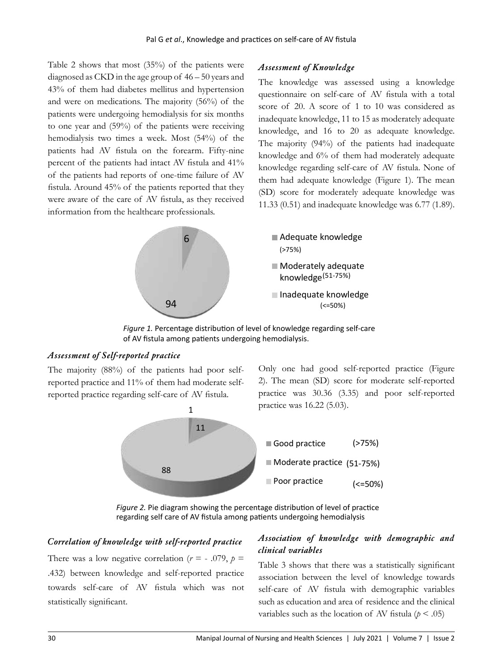Table 2 shows that most (35%) of the patients were diagnosed as CKD in the age group of 46 – 50 years and 43% of them had diabetes mellitus and hypertension and were on medications. The majority (56%) of the patients were undergoing hemodialysis for six months to one year and (59%) of the patients were receiving hemodialysis two times a week. Most (54%) of the patients had AV fistula on the forearm. Fifty-nine percent of the patients had intact AV fistula and 41% of the patients had reports of one-time failure of AV fistula. Around 45% of the patients reported that they 6 were aware of the care of AV fistula, as they received information from the healthcare professionals.

## *Assessment of Knowledge*

The knowledge was assessed using a knowledge questionnaire on self-care of AV fistula with a total score of 20. A score of 1 to 10 was considered as inadequate knowledge, 11 to 15 as moderately adequate knowledge, and 16 to 20 as adequate knowledge. The majority (94%) of the patients had inadequate knowledge and 6% of them had moderately adequate knowledge regarding self-care of AV fistula. None of them had adequate knowledge (Figure 1). The mean  $(SD)$  score for moderately adequate knowledge was 11.33  $(0.51)$  and inadequate knowledge was 6.77  $(1.89)$ .



Figure 1. Percentage distribution of level of knowledge regarding self-care of AV fistula among patients undergoing hemodialysis.

### *Assessment of Self-reported practice*

The majority (88%) of the patients had poor selfreported practice and 11% of them had moderate selfreported practice regarding self-care of AV fistula.



Only one had good self-reported practice (Figure



 $\overline{ }$ rigare In the allegram end ming are percentage allemantarion of terms or practice.<br>regarding self care of AV fistula among patients undergoing hemodialysis 1 *Figure 2.* Pie diagram showing the percentage distribution of level of practice

## *Correlation of knowledge with self-reported practice*

88 .432) between knowledge and self-reported practice There was a low negative correlation ( $r = -0.079$ ,  $p =$ towards self-care of AV fistula which was not statistically significant.

# Association of knowledge with demographic and *clinical variables*

Table 3 shows that there was a statistically significant self-care of AV fistula with demographic variables association between the level of knowledge towards such as education and area of residence and the clinical variables such as the location of AV fistula ( $p < .05$ )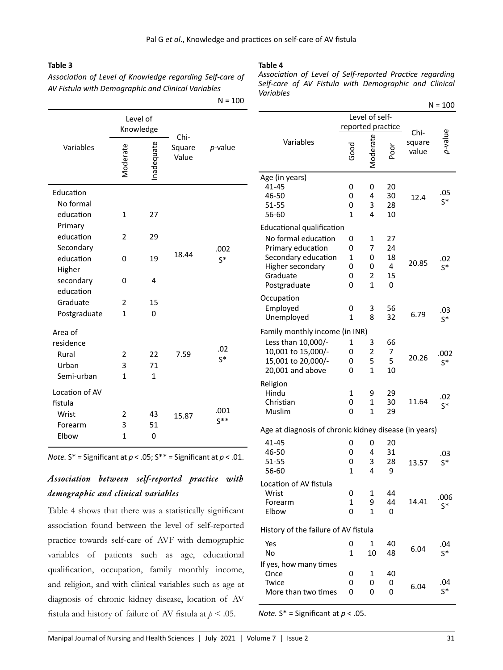### **Table 3**

*Association of Level of Knowledge regarding Self-care of AV Fistula with Demographic and Clinical Variables*

 $N = 100$ 

| ∙able<br>., |  |
|-------------|--|
|             |  |

*Association of Level of Self-reported Practice regarding Self-care of AV Fistula with Demographic and Clinical Variables*

|                | Level of<br>Knowledge |            | Chi-            |                  |  |
|----------------|-----------------------|------------|-----------------|------------------|--|
| Variables      | Moderate              | Inadequate | Square<br>Value | p-value          |  |
| Education      |                       |            |                 |                  |  |
| No formal      |                       |            |                 |                  |  |
| education      | $\mathbf{1}$          | 27         |                 |                  |  |
| Primary        |                       |            |                 |                  |  |
| education      | 2                     | 29         |                 |                  |  |
| Secondary      |                       |            |                 | .002             |  |
| education      | 0                     | 19         | 18.44           | $S^*$            |  |
| Higher         |                       |            |                 |                  |  |
| secondary      | 0                     | 4          |                 |                  |  |
| education      |                       |            |                 |                  |  |
| Graduate       | $\overline{2}$        | 15         |                 |                  |  |
| Postgraduate   | $\mathbf{1}$          | 0          |                 |                  |  |
| Area of        |                       |            |                 |                  |  |
| residence      |                       |            |                 |                  |  |
| Rural          | 2                     | 22         | 7.59            | .02<br>$S^*$     |  |
| Urban          | 3                     | 71         |                 |                  |  |
| Semi-urban     | $\mathbf{1}$          | 1          |                 |                  |  |
| Location of AV |                       |            |                 |                  |  |
| fistula        |                       |            |                 |                  |  |
| Wrist          | 2                     | 43         | 15.87           | .001<br>$S^{**}$ |  |
| Forearm        | 3                     | 51         |                 |                  |  |
| Elbow          | $\mathbf{1}$          | 0          |                 |                  |  |

*Note.*  $S^*$  = Significant at  $p < .05$ ;  $S^{**}$  = Significant at  $p < .01$ .

# *Association between self-reported practice with demographic and clinical variables*

Table 4 shows that there was a statistically significant association found between the level of self-reported practice towards self-care of AVF with demographic variables of patients such as age, educational qualification, occupation, family monthly income, and religion, and with clinical variables such as age at diagnosis of chronic kidney disease, location of AV fistula and history of failure of AV fistula at  $p < .05$ .

|                                                                                                                 |                            |                               |                                |                         | $N = 100$             |
|-----------------------------------------------------------------------------------------------------------------|----------------------------|-------------------------------|--------------------------------|-------------------------|-----------------------|
|                                                                                                                 | reported practice          | Level of self-                |                                |                         |                       |
| Variables                                                                                                       | ში<br>მ                    | Aoderate                      | ōoq                            | Chi-<br>square<br>value | o-value               |
| Age (in years)<br>41-45<br>46-50<br>51-55<br>56-60                                                              | 0<br>0<br>0<br>1           | 0<br>4<br>3<br>4              | 20<br>30<br>28<br>10           | 12.4                    | .05<br>$S^*$          |
| <b>Educational qualification</b>                                                                                |                            |                               |                                |                         |                       |
| No formal education<br>Primary education<br>Secondary education<br>Higher secondary<br>Graduate<br>Postgraduate | 0<br>0<br>1<br>0<br>0<br>0 | 1<br>7<br>0<br>0<br>2<br>1    | 27<br>24<br>18<br>4<br>15<br>0 | 20.85                   | .02<br>s*             |
| Occupation<br>Employed<br>Unemployed                                                                            | 0<br>1                     | 3<br>8                        | 56<br>32                       | 6.79                    | .03<br>$\mathsf{S}^*$ |
| Family monthly income (in INR)                                                                                  |                            |                               |                                |                         |                       |
| Less than 10,000/-<br>10,001 to 15,000/-<br>15,001 to 20,000/-<br>20,001 and above                              | 1<br>0<br>0<br>0           | 3<br>$\overline{2}$<br>5<br>1 | 66<br>7<br>5<br>10             | 20.26                   | .002<br>$S^*$         |
| Religion<br>Hindu<br>Christian<br>Muslim                                                                        | 1<br>0<br>0                | 9<br>1<br>1                   | 29<br>30<br>29                 | 11.64                   | .02<br>$S^*$          |
| Age at diagnosis of chronic kidney disease (in years)                                                           |                            |                               |                                |                         |                       |
| 41-45<br>46-50<br>51-55<br>56-60                                                                                | 0<br>0<br>0<br>1           | 0<br>4<br>3<br>4              | 20<br>31<br>28<br>9            | 13.57                   | .03<br>$S^*$          |
| Location of AV fistula<br>Wrist<br>Forearm<br>Elbow                                                             | 0<br>1<br>0                | 1<br>9<br>1                   | 44<br>44<br>0                  | 14.41                   | .006<br>s*            |
| History of the failure of AV fistula                                                                            |                            |                               |                                |                         |                       |
| Yes<br>No                                                                                                       | 0<br>1                     | 1<br>10                       | 40<br>48                       | 6.04                    | .04<br>$S^*$          |
| If yes, how many times<br>Once<br>Twice<br>More than two times                                                  | 0<br>0<br>U                | 1<br>0<br>U                   | 40<br>0<br>U                   | 6.04                    | .04<br>$S^*$          |

*Note.* S\* = Significant at *p* < .05.

0

0

More than two times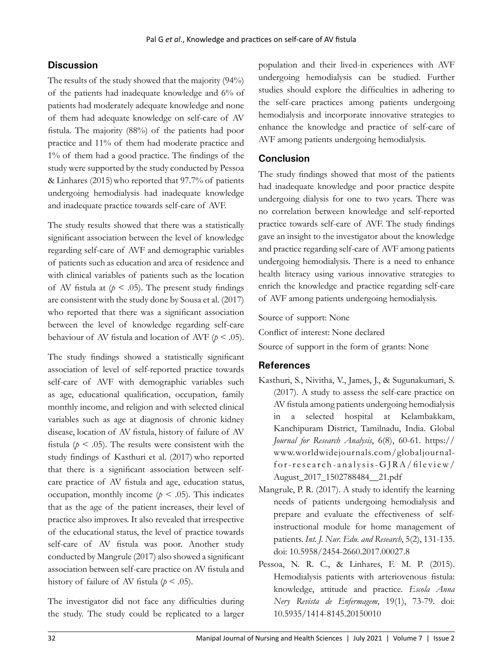# **Discussion**

The results of the study showed that the majority (94%) of the patients had inadequate knowledge and 6% of patients had moderately adequate knowledge and none of them had adequate knowledge on self-care of AV fistula. The majority (88%) of the patients had poor practice and 11% of them had moderate practice and 1% of them had a good practice. The findings of the study were supported by the study conducted by Pessoa & Linhares (2015)who reported that 97.7% of patients undergoing hemodialysis had inadequate knowledge and inadequate practice towards self-care of AVF.

The study results showed that there was a statistically significant association between the level of knowledge regarding self-care of AVF and demographic variables of patients such as education and area of residence and with clinical variables of patients such as the location of AV fistula at  $(p < .05)$ . The present study findings are consistent with the study done by Sousa et al. (2017) who reported that there was a significant association between the level of knowledge regarding self-care behaviour of AV fistula and location of AVF  $(p < .05)$ .

The study findings showed a statistically significant association of level of self-reported practice towards self-care of AVF with demographic variables such as age, educational qualification, occupation, family monthly income, and religion and with selected clinical variables such as age at diagnosis of chronic kidney disease, location of AV fistula, history of failure of AV fistula ( $p < .05$ ). The results were consistent with the study findings of Kasthuri et al. (2017) who reported that there is a significant association between selfcare practice of AV fistula and age, education status, occupation, monthly income ( $p < .05$ ). This indicates that as the age of the patient increases, their level of practice also improves. It also revealed that irrespective of the educational status, the level of practice towards self-care of AV fistula was poor. Another study conducted by Mangrule (2017) also showed a significant association between self-care practice on AV fistula and history of failure of AV fistula ( $p < .05$ ).

The investigator did not face any difficulties during the study. The study could be replicated to a larger

population and their lived-in experiences with AVF undergoing hemodialysis can be studied. Further studies should explore the difficulties in adhering to the self-care practices among patients undergoing hemodialysis and incorporate innovative strategies to enhance the knowledge and practice of self-care of AVF among patients undergoing hemodialysis.

## **Conclusion**

The study findings showed that most of the patients had inadequate knowledge and poor practice despite undergoing dialysis for one to two years. There was no correlation between knowledge and self-reported practice towards self-care of AVF. The study findings gave an insight to the investigator about the knowledge and practice regarding self-care of AVF among patients undergoing hemodialysis. There is a need to enhance health literacy using various innovative strategies to enrich the knowledge and practice regarding self-care of AVF among patients undergoing hemodialysis.

Source of support: None

Conflict of interest: None declared

Source of support in the form of grants: None

## **References**

- Kasthuri, S., Nivitha, V., James, J., & Sugunakumari, S. (2017). A study to assess the self-care practice on AV fistula among patients undergoing hemodialysis in a selected hospital at Kelambakkam, Kanchipuram District, Tamilnadu, India. Global *Journal for Research Analysis*, 6(8), 60-61. https:// www.worldwidejournals.com/globaljournalfor-research-analysis-GJRA/fileview/ August\_2017\_1502788484\_\_21.pdf
- Mangrule, P. R. (2017). A study to identify the learning needs of patients undergoing hemodialysis and prepare and evaluate the effectiveness of selfinstructional module for home management of patients. *Int. J. Nur. Edu. and Research*, 5(2), 131-135. doi: 10.5958/2454-2660.2017.00027.8
- Pessoa, N. R. C., & Linhares, F. M. P. (2015). Hemodialysis patients with arteriovenous fistula: knowledge, attitude and practice. *Escola Anna Nery Revista de Enfermagem*, 19(1), 73-79. doi: 10.5935/1414-8145.20150010